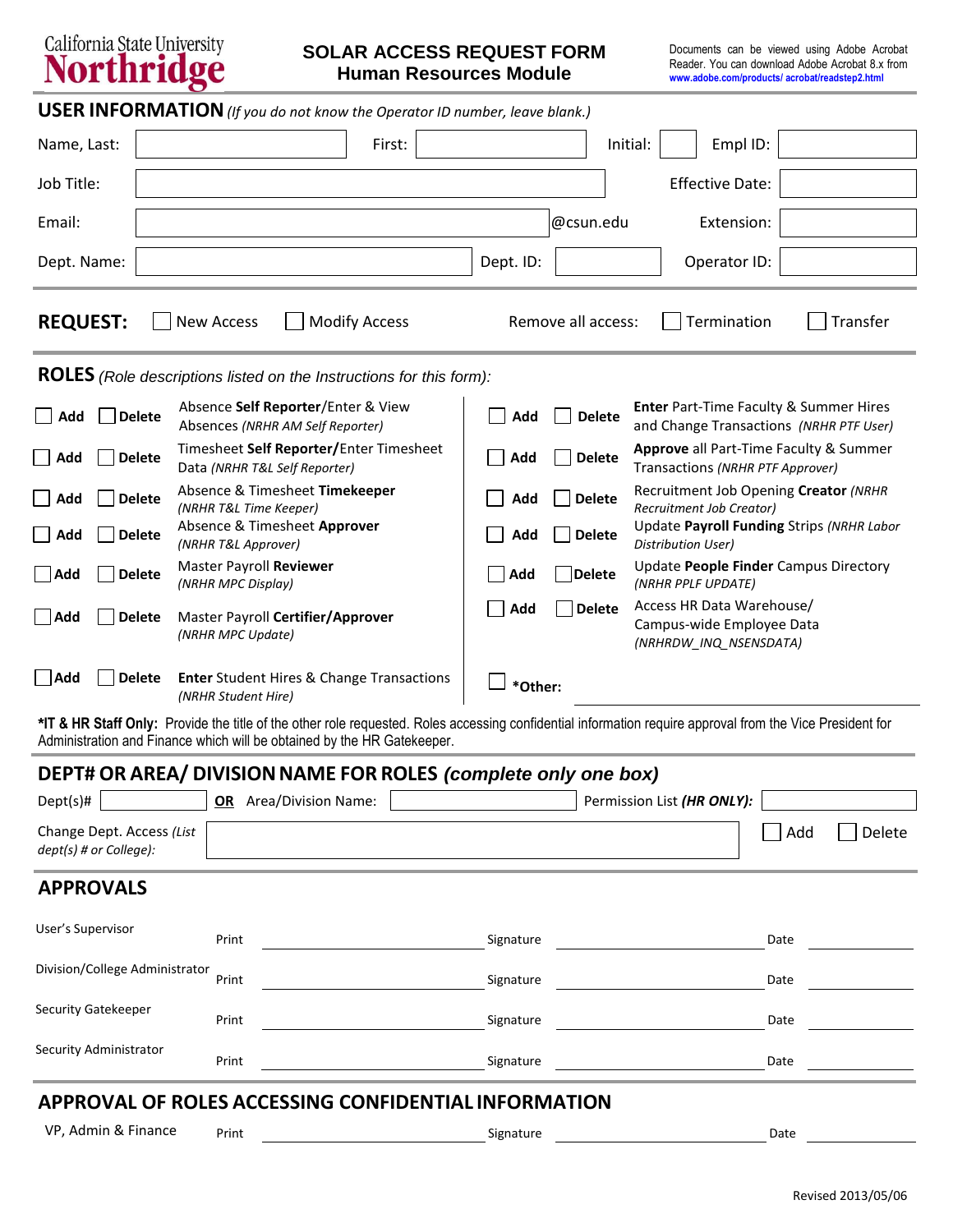# California State University<br>Northridge

### **SOLAR ACCESS REQUEST FORM Human Resources Module**

| <b>USER INFORMATION</b> (If you do not know the Operator ID number, leave blank.) |                   |                      |                    |          |                        |          |
|-----------------------------------------------------------------------------------|-------------------|----------------------|--------------------|----------|------------------------|----------|
| Name, Last:                                                                       |                   | First:               |                    | Initial: | Empl ID:               |          |
| Job Title:                                                                        |                   |                      |                    |          | <b>Effective Date:</b> |          |
| Email:                                                                            |                   |                      | @csun.edu          |          | Extension:             |          |
| Dept. Name:                                                                       |                   |                      | Dept. ID:          |          | Operator ID:           |          |
| <b>REQUEST:</b>                                                                   | <b>New Access</b> | <b>Modify Access</b> | Remove all access: |          | Termination            | Transfer |

**ROLES** *(Role descriptions listed on the Instructions for this form):*

| │ │ Add | Delete        | Absence Self Reporter/Enter & View<br>Absences (NRHR AM Self Reporter)      | Add     | <b>Delete</b> | <b>Enter</b> Part-Time Faculty & Summer Hires<br>and Change Transactions (NRHR PTF User) |
|---------|---------------|-----------------------------------------------------------------------------|---------|---------------|------------------------------------------------------------------------------------------|
| Add     | <b>Delete</b> | Timesheet Self Reporter/Enter Timesheet<br>Data (NRHR T&L Self Reporter)    | Add     | <b>Delete</b> | <b>Approve</b> all Part-Time Faculty & Summer<br>Transactions (NRHR PTF Approver)        |
| Add     | <b>Delete</b> | Absence & Timesheet Timekeeper<br>(NRHR T&L Time Keeper)                    | Add     | <b>Delete</b> | Recruitment Job Opening Creator (NRHR<br>Recruitment Job Creator)                        |
| Add     | <b>Delete</b> | Absence & Timesheet Approver<br>(NRHR T&L Approver)                         | Add     | <b>Delete</b> | Update Payroll Funding Strips (NRHR Labor<br>Distribution User)                          |
| Add     | <b>Delete</b> | Master Payroll Reviewer<br>(NRHR MPC Display)                               | Add     | Delete        | Update People Finder Campus Directory<br>(NRHR PPLF UPDATE)                              |
| Add     | <b>Delete</b> | Master Payroll Certifier/Approver<br>(NRHR MPC Update)                      | Add     | <b>Delete</b> | Access HR Data Warehouse/<br>Campus-wide Employee Data<br>(NRHRDW INQ NSENSDATA)         |
| Add     | <b>Delete</b> | <b>Enter Student Hires &amp; Change Transactions</b><br>(NRHR Student Hire) | *Other: |               |                                                                                          |

**\*IT & HR Staff Only:** Provide the title of the other role requested. Roles accessing confidential information require approval from the Vice President for Administration and Finance which will be obtained by the HR Gatekeeper.

| DEPT# OR AREA/ DIVISION NAME FOR ROLES (complete only one box) |                           |  |           |                            |      |        |
|----------------------------------------------------------------|---------------------------|--|-----------|----------------------------|------|--------|
| $Depth(s)\#$                                                   | Area/Division Name:<br>OR |  |           | Permission List (HR ONLY): |      |        |
| Change Dept. Access (List<br>$depth(s)$ # or College):         |                           |  |           |                            | Add  | Delete |
| <b>APPROVALS</b>                                               |                           |  |           |                            |      |        |
| User's Supervisor                                              | Print                     |  | Signature |                            | Date |        |
| Division/College Administrator                                 | Print                     |  | Signature |                            | Date |        |
| Security Gatekeeper                                            | Print                     |  | Signature |                            | Date |        |
| Security Administrator                                         | Print                     |  | Signature |                            | Date |        |

## **APPROVAL OF ROLES ACCESSING CONFIDENTIAL INFORMATION**

VP, Admin & Finance Print Print Signature Signature Signature Date